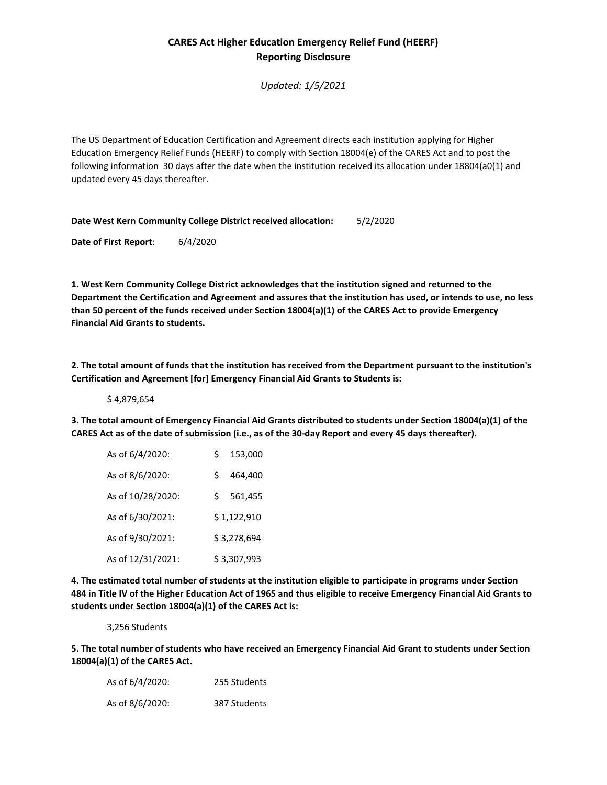## **CARES Act Higher Education Emergency Relief Fund (HEERF) Reporting Disclosure**

*Updated: 1/5/2021*

The US Department of Education Certification and Agreement directs each institution applying for Higher Education Emergency Relief Funds (HEERF) to comply with Section 18004(e) of the CARES Act and to post the following information 30 days after the date when the institution received its allocation under 18804(a0(1) and updated every 45 days thereafter.

**Date West Kern Community College District received allocation:** 5/2/2020

**Date of First Report**: 6/4/2020

**1. West Kern Community College District acknowledges that the institution signed and returned to the Department the Certification and Agreement and assures that the institution has used, or intends to use, no less than 50 percent of the funds received under Section 18004(a)(1) of the CARES Act to provide Emergency Financial Aid Grants to students.**

**2. The total amount of funds that the institution has received from the Department pursuant to the institution's Certification and Agreement [for] Emergency Financial Aid Grants to Students is:** 

\$ 4,879,654

**3. The total amount of Emergency Financial Aid Grants distributed to students under Section 18004(a)(1) of the CARES Act as of the date of submission (i.e., as of the 30-day Report and every 45 days thereafter).**

| As of 6/4/2020:   | Ś           | 153,000     |
|-------------------|-------------|-------------|
| As of 8/6/2020:   | Ś           | 464.400     |
| As of 10/28/2020: | Ś.          | 561,455     |
| As of 6/30/2021:  |             | \$1,122,910 |
| As of 9/30/2021:  | \$3,278,694 |             |
| As of 12/31/2021: |             | \$3,307,993 |

**4. The estimated total number of students at the institution eligible to participate in programs under Section 484 in Title IV of the Higher Education Act of 1965 and thus eligible to receive Emergency Financial Aid Grants to students under Section 18004(a)(1) of the CARES Act is:**

3,256 Students

**5. The total number of students who have received an Emergency Financial Aid Grant to students under Section 18004(a)(1) of the CARES Act.**

| As of 6/4/2020: | 255 Students |
|-----------------|--------------|
| As of 8/6/2020: | 387 Students |